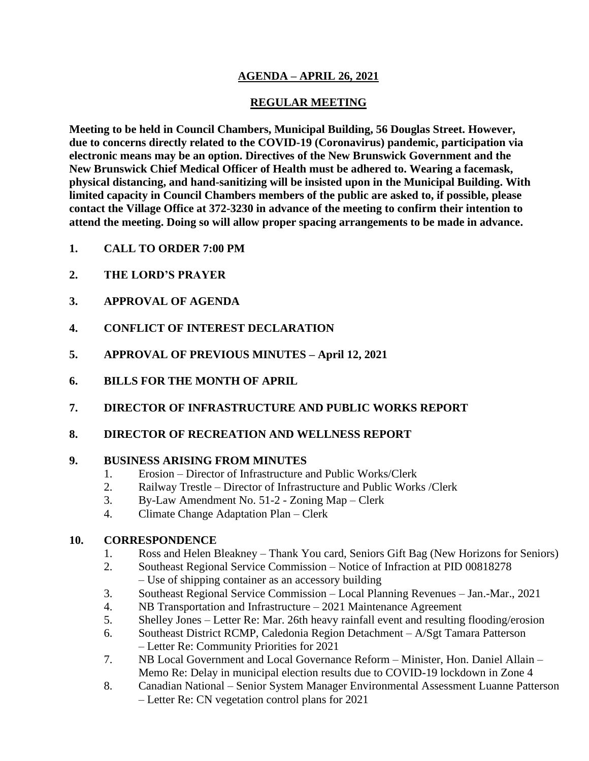# **AGENDA – APRIL 26, 2021**

# **REGULAR MEETING**

**Meeting to be held in Council Chambers, Municipal Building, 56 Douglas Street. However, due to concerns directly related to the COVID-19 (Coronavirus) pandemic, participation via electronic means may be an option. Directives of the New Brunswick Government and the New Brunswick Chief Medical Officer of Health must be adhered to. Wearing a facemask, physical distancing, and hand-sanitizing will be insisted upon in the Municipal Building. With limited capacity in Council Chambers members of the public are asked to, if possible, please contact the Village Office at 372-3230 in advance of the meeting to confirm their intention to attend the meeting. Doing so will allow proper spacing arrangements to be made in advance.**

- **1. CALL TO ORDER 7:00 PM**
- **2. THE LORD'S PRAYER**
- **3. APPROVAL OF AGENDA**
- **4. CONFLICT OF INTEREST DECLARATION**
- **5. APPROVAL OF PREVIOUS MINUTES – April 12, 2021**
- **6. BILLS FOR THE MONTH OF APRIL**
- **7. DIRECTOR OF INFRASTRUCTURE AND PUBLIC WORKS REPORT**
- **8. DIRECTOR OF RECREATION AND WELLNESS REPORT**

## **9. BUSINESS ARISING FROM MINUTES**

- 1. Erosion Director of Infrastructure and Public Works/Clerk
- 2. Railway Trestle Director of Infrastructure and Public Works /Clerk
- 3. By-Law Amendment No. 51-2 Zoning Map Clerk
- 4. Climate Change Adaptation Plan Clerk

# **10. CORRESPONDENCE**

- 1. Ross and Helen Bleakney Thank You card, Seniors Gift Bag (New Horizons for Seniors)
- 2. Southeast Regional Service Commission Notice of Infraction at PID 00818278 – Use of shipping container as an accessory building
- 3. Southeast Regional Service Commission Local Planning Revenues Jan.-Mar., 2021
- 4. NB Transportation and Infrastructure 2021 Maintenance Agreement
- 5. Shelley Jones Letter Re: Mar. 26th heavy rainfall event and resulting flooding/erosion
- 6. Southeast District RCMP, Caledonia Region Detachment A/Sgt Tamara Patterson – Letter Re: Community Priorities for 2021
- 7. NB Local Government and Local Governance Reform Minister, Hon. Daniel Allain Memo Re: Delay in municipal election results due to COVID-19 lockdown in Zone 4
- 8. Canadian National Senior System Manager Environmental Assessment Luanne Patterson – Letter Re: CN vegetation control plans for 2021